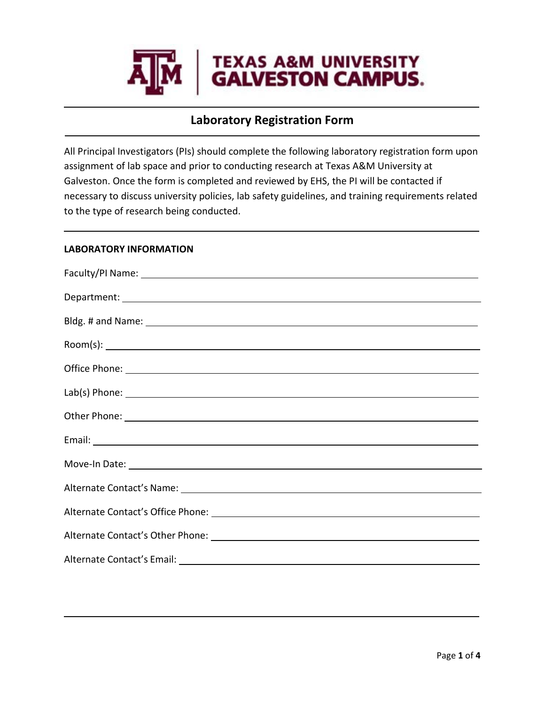

# **Laboratory Registration Form**

All Principal Investigators (PIs) should complete the following laboratory registration form upon assignment of lab space and prior to conducting research at Texas A&M University at Galveston. Once the form is completed and reviewed by EHS, the PI will be contacted if necessary to discuss university policies, lab safety guidelines, and training requirements related to the type of research being conducted.

### **LABORATORY INFORMATION**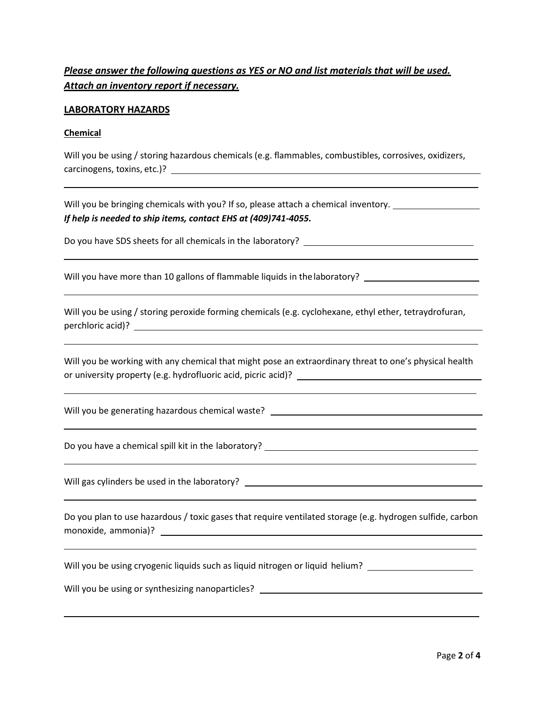# *Please answer the following questions as YES or NO and list materials that will be used. Attach an inventory report if necessary.*

### **LABORATORY HAZARDS**

#### **Chemical**

Will you be using / storing hazardous chemicals (e.g. flammables, combustibles, corrosives, oxidizers, carcinogens, toxins, etc.)?

Will you be bringing chemicals with you? If so, please attach a chemical inventory. *If help is needed to ship items, contact EHS at (409)741-4055.*

Do you have SDS sheets for all chemicals in the laboratory? \_\_\_\_\_\_\_\_\_\_\_\_\_\_\_\_\_\_\_\_

Will you have more than 10 gallons of flammable liquids in the laboratory? \_\_\_\_\_\_\_\_\_\_\_\_\_\_\_\_\_\_\_\_\_\_\_\_\_\_\_\_\_\_\_\_\_\_\_

Will you be using / storing peroxide forming chemicals (e.g. cyclohexane, ethyl ether, tetraydrofuran, perchloric acid)?

Will you be working with any chemical that might pose an extraordinary threat to one's physical health or university property (e.g. hydrofluoric acid, picric acid)?

Will you be generating hazardous chemical waste?

Do you have a chemical spill kit in the laboratory?

Will gas cylinders be used in the laboratory? \_\_\_\_\_\_\_\_\_\_\_\_\_\_\_\_\_\_\_\_\_\_\_\_\_\_\_\_\_\_\_\_\_\_

Do you plan to use hazardous / toxic gases that require ventilated storage (e.g. hydrogen sulfide, carbon monoxide, ammonia)?

Will you be using cryogenic liquids such as liquid nitrogen or liquid helium? \_\_\_\_\_\_\_\_\_\_\_\_\_\_\_\_\_\_\_\_\_\_\_\_\_\_\_\_\_\_\_\_

Will you be using or synthesizing nanoparticles?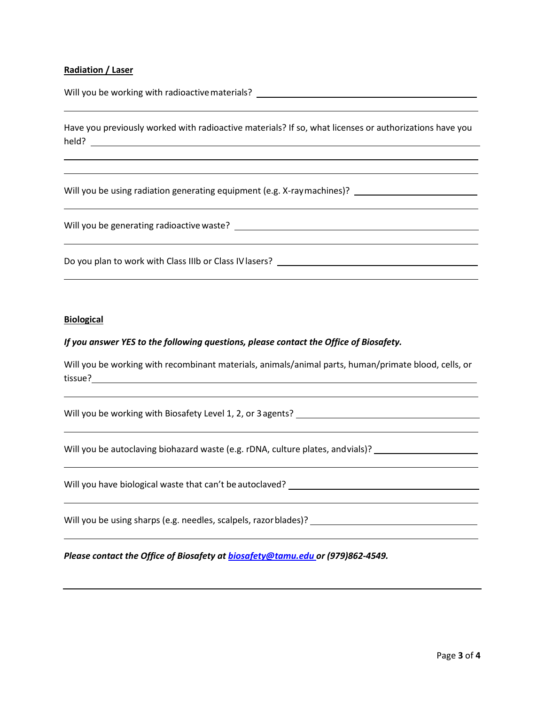#### **Radiation / Laser**

Will you be working with radioactive materials? \_\_\_\_\_\_\_\_\_\_\_\_\_\_\_\_\_\_\_\_\_\_\_\_\_\_\_\_\_\_\_\_

Have you previously worked with radioactive materials? If so, what licenses or authorizations have you held?

Will you be using radiation generating equipment (e.g. X-raymachines)? \_\_\_\_\_\_\_\_\_\_\_\_\_\_\_\_\_\_\_\_\_\_\_\_\_\_\_\_

Will you be generating radioactive waste?

Do you plan to work with Class IIIb or Class IVlasers?

#### **Biological**

#### *If you answer YES to the following questions, please contact the Office of Biosafety.*

Will you be working with recombinant materials, animals/animal parts, human/primate blood, cells, or tissue?

Will you be working with Biosafety Level 1, 2, or 3 agents? \_\_\_\_\_\_\_\_\_\_\_\_\_\_\_\_\_\_\_\_\_

Will you be autoclaving biohazard waste (e.g. rDNA, culture plates, andvials)?

Will you have biological waste that can't be autoclaved? \_\_\_\_\_\_\_\_\_\_\_\_\_\_\_\_\_\_\_\_\_\_\_

Will you be using sharps (e.g. needles, scalpels, razorblades)?

*Please contact the Office of Biosafety a[t biosafety@tamu.edu o](mailto:biosafety@tamu.edu)r (979)862-4549.*